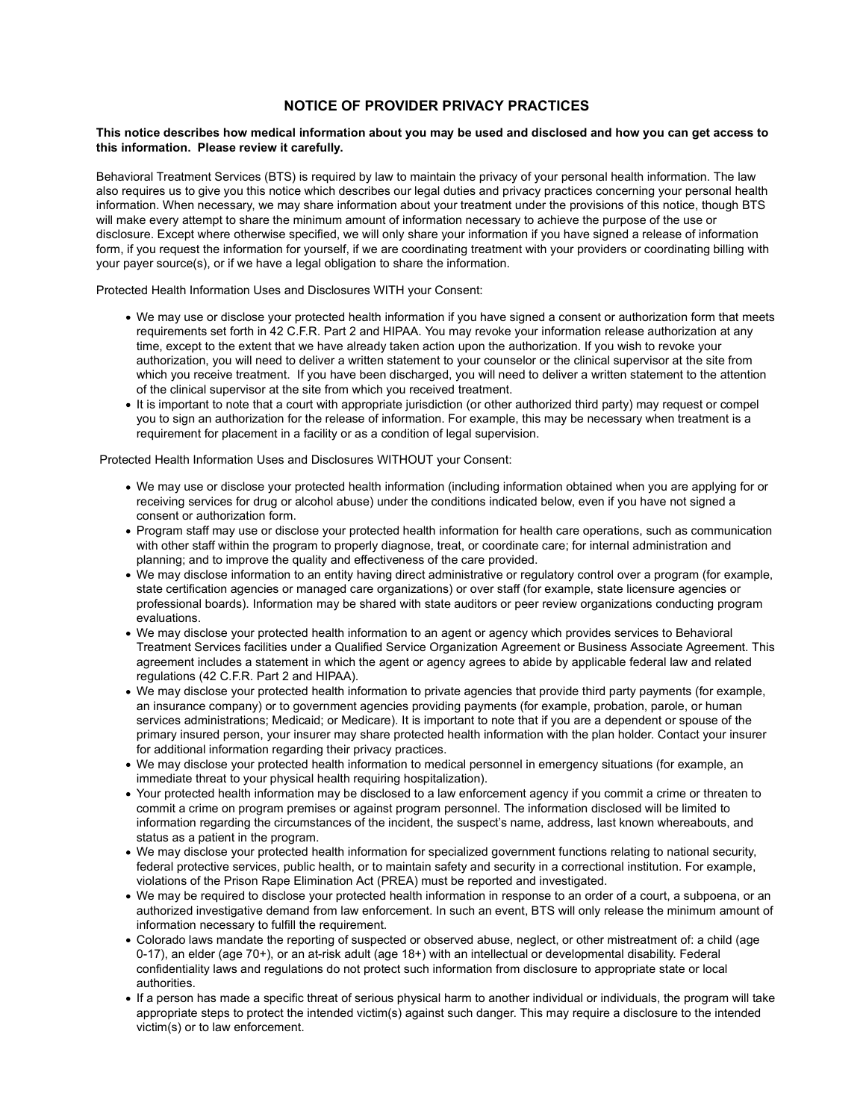## NOTICE OF PROVIDER PRIVACY PRACTICES

## This notice describes how medical information about you may be used and disclosed and how you can get access to this information. Please review it carefully.

Behavioral Treatment Services (BTS) is required by law to maintain the privacy of your personal health information. The law also requires us to give you this notice which describes our legal duties and privacy practices concerning your personal health information. When necessary, we may share information about your treatment under the provisions of this notice, though BTS will make every attempt to share the minimum amount of information necessary to achieve the purpose of the use or disclosure. Except where otherwise specified, we will only share your information if you have signed a release of information form, if you request the information for yourself, if we are coordinating treatment with your providers or coordinating billing with your payer source(s), or if we have a legal obligation to share the information.

Protected Health Information Uses and Disclosures WITH your Consent:

- We may use or disclose your protected health information if you have signed a consent or authorization form that meets requirements set forth in 42 C.F.R. Part 2 and HIPAA. You may revoke your information release authorization at any time, except to the extent that we have already taken action upon the authorization. If you wish to revoke your authorization, you will need to deliver a written statement to your counselor or the clinical supervisor at the site from which you receive treatment. If you have been discharged, you will need to deliver a written statement to the attention of the clinical supervisor at the site from which you received treatment.
- It is important to note that a court with appropriate jurisdiction (or other authorized third party) may request or compel you to sign an authorization for the release of information. For example, this may be necessary when treatment is a requirement for placement in a facility or as a condition of legal supervision.

Protected Health Information Uses and Disclosures WITHOUT your Consent:

- We may use or disclose your protected health information (including information obtained when you are applying for or receiving services for drug or alcohol abuse) under the conditions indicated below, even if you have not signed a consent or authorization form.
- Program staff may use or disclose your protected health information for health care operations, such as communication with other staff within the program to properly diagnose, treat, or coordinate care; for internal administration and planning; and to improve the quality and effectiveness of the care provided.
- We may disclose information to an entity having direct administrative or regulatory control over a program (for example, state certification agencies or managed care organizations) or over staff (for example, state licensure agencies or professional boards). Information may be shared with state auditors or peer review organizations conducting program evaluations.
- We may disclose your protected health information to an agent or agency which provides services to Behavioral Treatment Services facilities under a Qualified Service Organization Agreement or Business Associate Agreement. This agreement includes a statement in which the agent or agency agrees to abide by applicable federal law and related regulations (42 C.F.R. Part 2 and HIPAA).
- We may disclose your protected health information to private agencies that provide third party payments (for example, an insurance company) or to government agencies providing payments (for example, probation, parole, or human services administrations; Medicaid; or Medicare). It is important to note that if you are a dependent or spouse of the primary insured person, your insurer may share protected health information with the plan holder. Contact your insurer for additional information regarding their privacy practices.
- We may disclose your protected health information to medical personnel in emergency situations (for example, an immediate threat to your physical health requiring hospitalization).
- Your protected health information may be disclosed to a law enforcement agency if you commit a crime or threaten to commit a crime on program premises or against program personnel. The information disclosed will be limited to information regarding the circumstances of the incident, the suspect's name, address, last known whereabouts, and status as a patient in the program.
- We may disclose your protected health information for specialized government functions relating to national security, federal protective services, public health, or to maintain safety and security in a correctional institution. For example, violations of the Prison Rape Elimination Act (PREA) must be reported and investigated.
- We may be required to disclose your protected health information in response to an order of a court, a subpoena, or an authorized investigative demand from law enforcement. In such an event, BTS will only release the minimum amount of information necessary to fulfill the requirement.
- Colorado laws mandate the reporting of suspected or observed abuse, neglect, or other mistreatment of: a child (age 0-17), an elder (age 70+), or an at-risk adult (age 18+) with an intellectual or developmental disability. Federal confidentiality laws and regulations do not protect such information from disclosure to appropriate state or local authorities.
- If a person has made a specific threat of serious physical harm to another individual or individuals, the program will take appropriate steps to protect the intended victim(s) against such danger. This may require a disclosure to the intended victim(s) or to law enforcement.